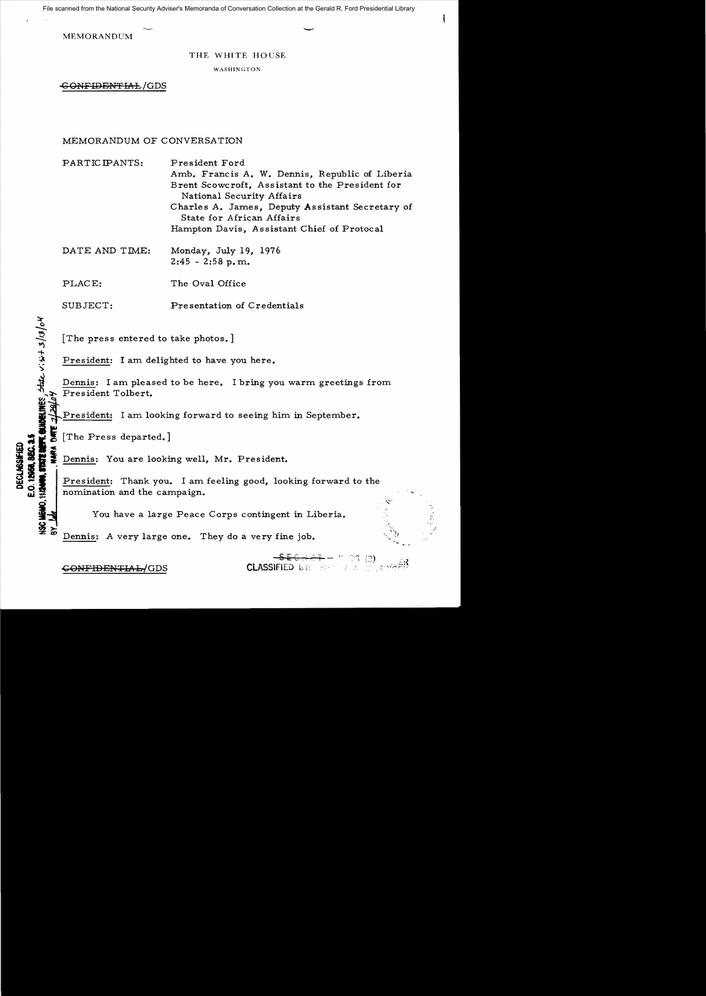File scanned from the National Security Adviser's Memoranda of Conversation Collection at the Gerald R. Ford Presidential Library

MEMORANDUM  $\sim$ 

THE WHITE HOUSE

WASHINGTON

GONFIDENTIAL/GDS

## MEMORANDUM OF CONVERSATION

PARTICIPANTS: President Ford Amb. Francis A. W. Dennis, Republic of Liberia Brent Scowcroft, Assistant to the President for National Security Affairs Charles A. James, Deputy Assistant Secretary of State for African Affairs Hampton Davis, Assistant Chief of Protoca1

DATE AND TIME: Monday, July 19, 1976  $2:45 - 2:58$  p.m.

PLACE: The Oval Office

SUBJECT: Presentation of Credentials

[The press entered to take photos.]

President: I am delighted to have you here.

**INDELINES, State**<br>E 2/20/04<br>E 2/20/04 Dennis: I am pleased to be here. I bring you warm greetings from President Tolbert.

President: I am looking forward to seeing him in September.

 $\leq$ 

**180 MEMO.** 

:;I! [The Press departed.] I **i. -** Dennis: You are looking well, Mr. President. **President:** Thank you. I am feeling good, looking forward to the nomination and the campaign. nomination and the campaign.

You have a large Peace Corps contingent in Liberia.

Dennis: A very large one. They do a very fine job.

<del>CONFIDENTIA L/</del>GDS

 $SE G + F +$ 

.....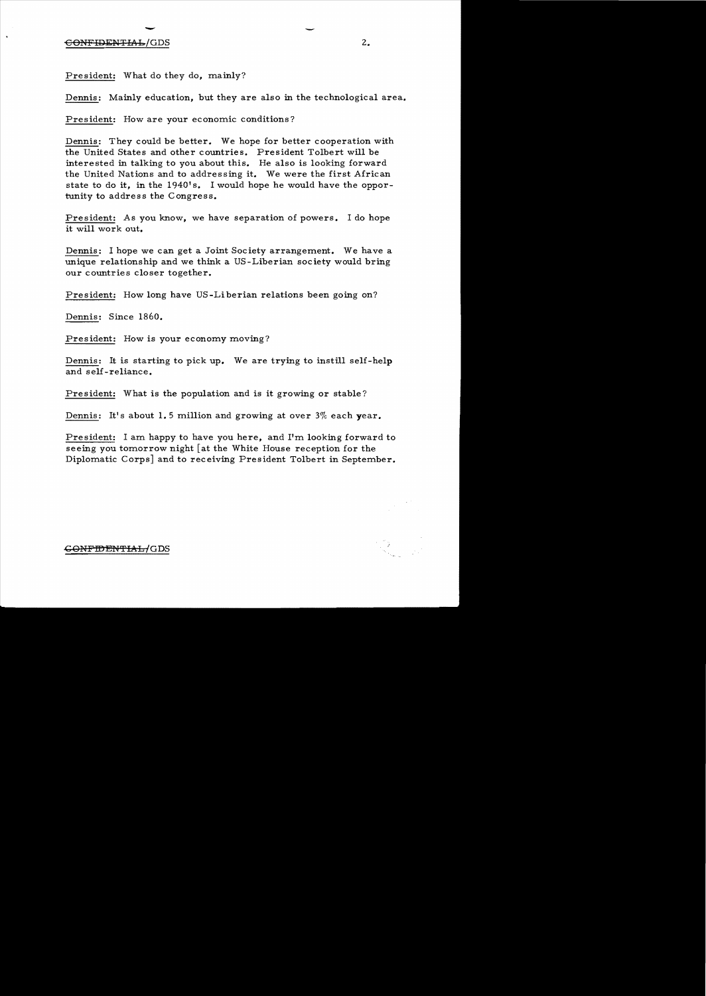## $\frac{1}{\sqrt{GD}}$ et the CONFIDENTIAL CODS of the CONFIDENTIAL CODS of the CONFIDENTIAL CODS of the CONFIDENTIAL CODS of the CODS

President: What do they do, mainly?

Dennis: Mainly education, but they are also in the technological area.

President: How are your economic conditions?

Dennis: They could be better. We hope for better cooperation with the United States and other countries. President Tolbert will be interested in talking to you about this. He also is looking forward the United Nations and to addressing it. We were the first African state to do it, in the 1940's. I would hope he would have the opportunity to address the Congress.

President: As you know, we have separation of powers. I do hope it will work out.

Dennis: I hope we can get a Joint Society arrangement. We have a unique relationship and we think a US-Liberian society would bring our countries closer together.

President: How long have US -Liberian relations been going on?

Dennis: Since 1860.

President: How is your economy moving?

Dennis: It is starting to pick up. We are trying to instill self- help and self-reliance.

President: What is the population and is it growing or stable?

Dennis: It's about 1.5 million and growing at over  $3\%$  each year.

President: I am happy to have you here, and I'm looking forward to seeing you tomorrow night  $\lceil$  at the White House reception for the Diplomatic Corps] and to receiving President Tolbert in September.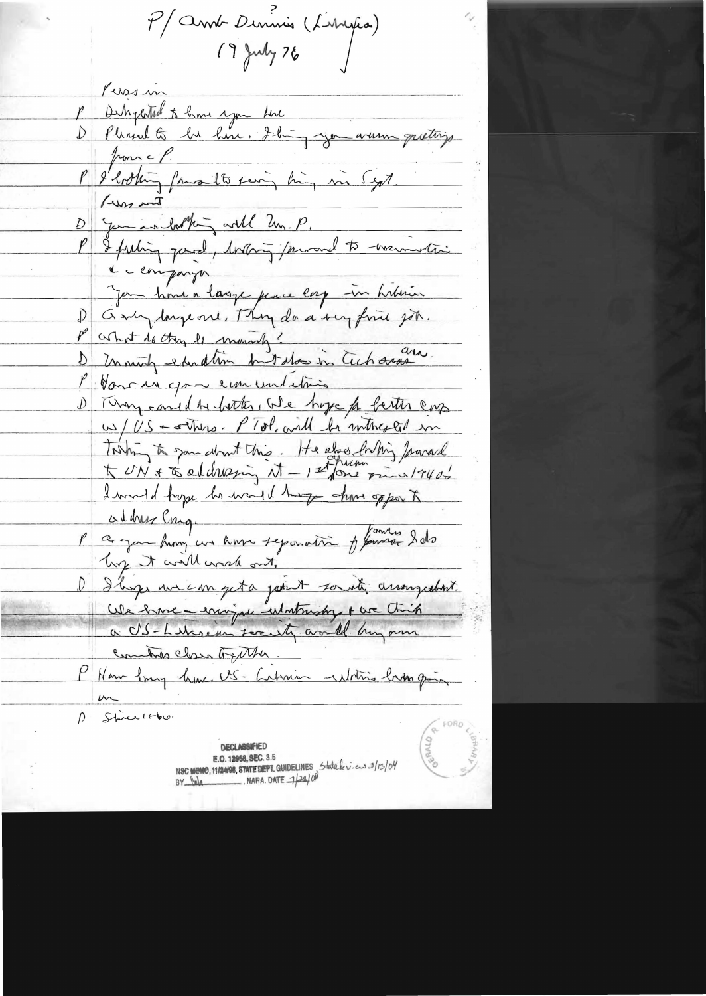P/annt Deninis (Livrepa)<br>19 july 76

Persin P Detrychted to have you the<br>D Pleased to be have. I have you were greating P & lotting famalle fering high in Sept. D gam in bothing will Un. P.<br>P I feeling good, bothing proven to warmetic e companyon Jan hour a lasge par lorg in hibrin P what do they is manish? and. Monroe you em undations D Thy cand the botter, We hope to better cap WS - There. PTol. will be inthested in Tosting to somethint this. He also briting france I would hope to want things shows of por to adher Cong.<br>l'a jou hum un hom reposation y famille date by it will work out, Iboge une empeta point soustig arrangedant. We have environce utatrishy & we think Combito class together. P Ham Any lune US- Librim Whitis himpoin 1. Stice 1860.

**DECLASSIFIED** E.O. 12958, SEC. 3.5 NSC MEMO, 112408, STATE DEPT. GUIDELINES State k v. ens 3/13/04<br>BY Jola NARA DATE 1/24/04